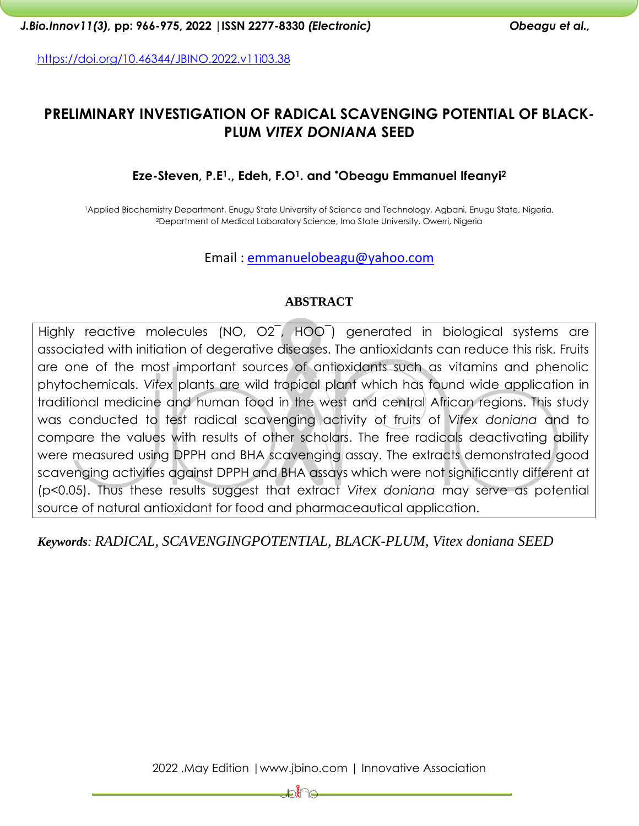<https://doi.org/10.46344/JBINO.2022.v11i03.38>

# **PRELIMINARY INVESTIGATION OF RADICAL SCAVENGING POTENTIAL OF BLACK-PLUM** *VITEX DONIANA* **SEED**

### **Eze-Steven, P.E1., Edeh, F.O1. and \*Obeagu Emmanuel Ifeanyi<sup>2</sup>**

<sup>1</sup>Applied Biochemistry Department, Enugu State University of Science and Technology, Agbani, Enugu State, Nigeria. <sup>2</sup>Department of Medical Laboratory Science, Imo State University, Owerri, Nigeria

### Email : [emmanuelobeagu@yahoo.com](mailto:emmanuelobeagu@yahoo.com)

#### **ABSTRACT**

Highly reactive molecules (NO, O2¯, HOO¯) generated in biological systems are associated with initiation of degerative diseases. The antioxidants can reduce this risk. Fruits are one of the most important sources of antioxidants such as vitamins and phenolic phytochemicals. *Vitex* plants are wild tropical plant which has found wide application in traditional medicine and human food in the west and central African regions. This study was conducted to test radical scavenging activity of fruits of *Vitex doniana* and to compare the values with results of other scholars. The free radicals deactivating ability were measured using DPPH and BHA scavenging assay. The extracts demonstrated good scavenging activities against DPPH and BHA assays which were not significantly different at (p<0.05). Thus these results suggest that extract *Vitex doniana* may serve as potential source of natural antioxidant for food and pharmaceautical application.

*Keywords: RADICAL, SCAVENGINGPOTENTIAL, BLACK-PLUM, Vitex doniana SEED*

⊯ນໃີ⊜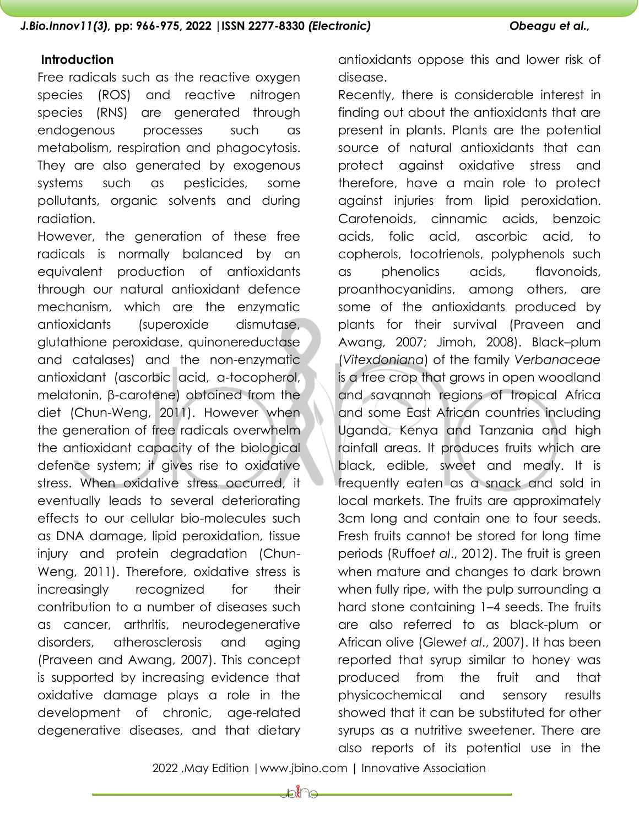#### **Introduction**

Free radicals such as the reactive oxygen species (ROS) and reactive nitrogen species (RNS) are generated through endogenous processes such as metabolism, respiration and phagocytosis. They are also generated by exogenous systems such as pesticides, some pollutants, organic solvents and during radiation.

However, the generation of these free radicals is normally balanced by an equivalent production of antioxidants through our natural antioxidant defence mechanism, which are the enzymatic antioxidants (superoxide dismutase, glutathione peroxidase, quinonereductase and catalases) and the non-enzymatic antioxidant (ascorbic acid, α-tocopherol, melatonin, β-carotene) obtained from the diet (Chun-Weng, 2011). However when the generation of free radicals overwhelm the antioxidant capacity of the biological defence system; it gives rise to oxidative stress. When oxidative stress occurred, it eventually leads to several deteriorating effects to our cellular bio-molecules such as DNA damage, lipid peroxidation, tissue injury and protein degradation (Chun-Weng, 2011). Therefore, oxidative stress is increasingly recognized for their contribution to a number of diseases such as cancer, arthritis, neurodegenerative disorders, atherosclerosis and aging (Praveen and Awang, 2007). This concept is supported by increasing evidence that oxidative damage plays a role in the development of chronic, age-related degenerative diseases, and that dietary

antioxidants oppose this and lower risk of disease.

Recently, there is considerable interest in finding out about the antioxidants that are present in plants. Plants are the potential source of natural antioxidants that can protect against oxidative stress and therefore, have a main role to protect against injuries from lipid peroxidation. Carotenoids, cinnamic acids, benzoic acids, folic acid, ascorbic acid, to copherols, tocotrienols, polyphenols such as phenolics acids, flavonoids, proanthocyanidins, among others, are some of the antioxidants produced by plants for their survival (Praveen and Awang, 2007; Jimoh, 2008). Black–plum (*Vitexdoniana*) of the family *Verbanaceae* is a tree crop that grows in open woodland and savannah regions of tropical Africa and some East African countries including Uganda, Kenya and Tanzania and high rainfall areas. It produces fruits which are black, edible, sweet and mealy. It is frequently eaten as a snack and sold in local markets. The fruits are approximately 3cm long and contain one to four seeds. Fresh fruits cannot be stored for long time periods (Ruffo*et al*., 2012). The fruit is green when mature and changes to dark brown when fully ripe, with the pulp surrounding a hard stone containing 1–4 seeds. The fruits are also referred to as black-plum or African olive (Glew*et al*., 2007). It has been reported that syrup similar to honey was produced from the fruit and that physicochemical and sensory results showed that it can be substituted for other syrups as a nutritive sweetener. There are also reports of its potential use in the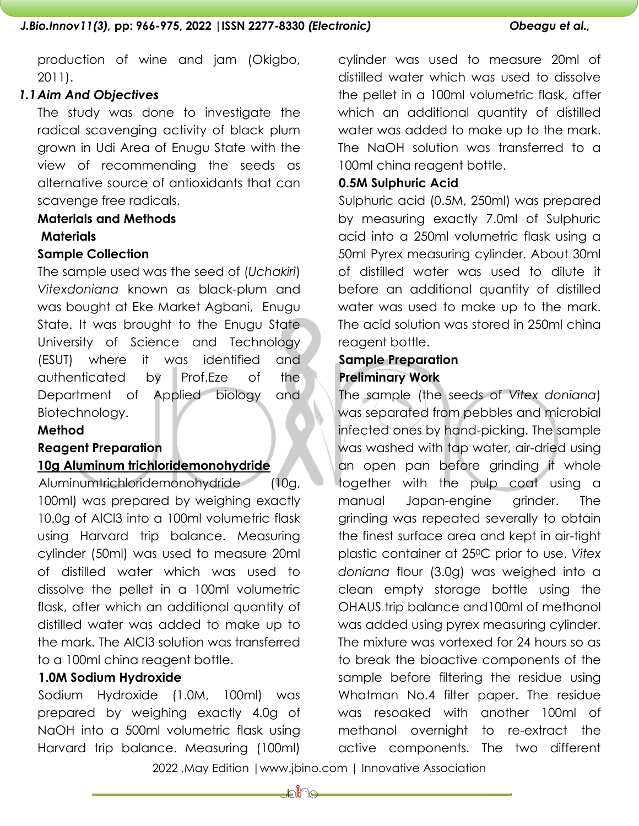production of wine and jam (Okigbo, 2011).

# *1.1Aim And Objectives*

The study was done to investigate the radical scavenging activity of black plum grown in Udi Area of Enugu State with the view of recommending the seeds as alternative source of antioxidants that can scavenge free radicals.

## **Materials and Methods**

### **Materials**

### **Sample Collection**

The sample used was the seed of (*Uchakiri*) *Vitexdoniana* known as black-plum and was bought at Eke Market Agbani, Enugu State. It was brought to the Enugu State University of Science and Technology (ESUT) where it was identified and authenticated by Prof.Eze of the Department of Applied biology and Biotechnology.

# **Method**

### **Reagent Preparation**

### **10g Aluminum trichloridemonohydride**

Aluminumtrichloridemonohydride (10g, 100ml) was prepared by weighing exactly 10.0g of AlCl3 into a 100ml volumetric flask using Harvard trip balance. Measuring cylinder (50ml) was used to measure 20ml of distilled water which was used to dissolve the pellet in a 100ml volumetric flask, after which an additional quantity of distilled water was added to make up to the mark. The AlCl3 solution was transferred to a 100ml china reagent bottle.

### **1.0M Sodium Hydroxide**

Sodium Hydroxide (1.0M, 100ml) was prepared by weighing exactly 4.0g of NaOH into a 500ml volumetric flask using Harvard trip balance. Measuring (100ml)

cylinder was used to measure 20ml of distilled water which was used to dissolve the pellet in a 100ml volumetric flask, after which an additional quantity of distilled water was added to make up to the mark. The NaOH solution was transferred to a 100ml china reagent bottle.

#### **0.5M Sulphuric Acid**

Sulphuric acid (0.5M, 250ml) was prepared by measuring exactly 7.0ml of Sulphuric acid into a 250ml volumetric flask using a 50ml Pyrex measuring cylinder. About 30ml of distilled water was used to dilute it before an additional quantity of distilled water was used to make up to the mark. The acid solution was stored in 250ml china reagent bottle.

# **Sample Preparation Preliminary Work**

The sample (the seeds of *Vitex doniana*) was separated from pebbles and microbial infected ones by hand-picking. The sample was washed with tap water, air-dried using an open pan before grinding it whole together with the pulp coat using a manual Japan-engine grinder. The grinding was repeated severally to obtain the finest surface area and kept in air-tight plastic container at 250C prior to use. *Vitex doniana* flour (3.0g) was weighed into a clean empty storage bottle using the OHAUS trip balance and100ml of methanol was added using pyrex measuring cylinder. The mixture was vortexed for 24 hours so as to break the bioactive components of the sample before filtering the residue using Whatman No.4 filter paper. The residue was resoaked with another 100ml of methanol overnight to re-extract the active components. The two different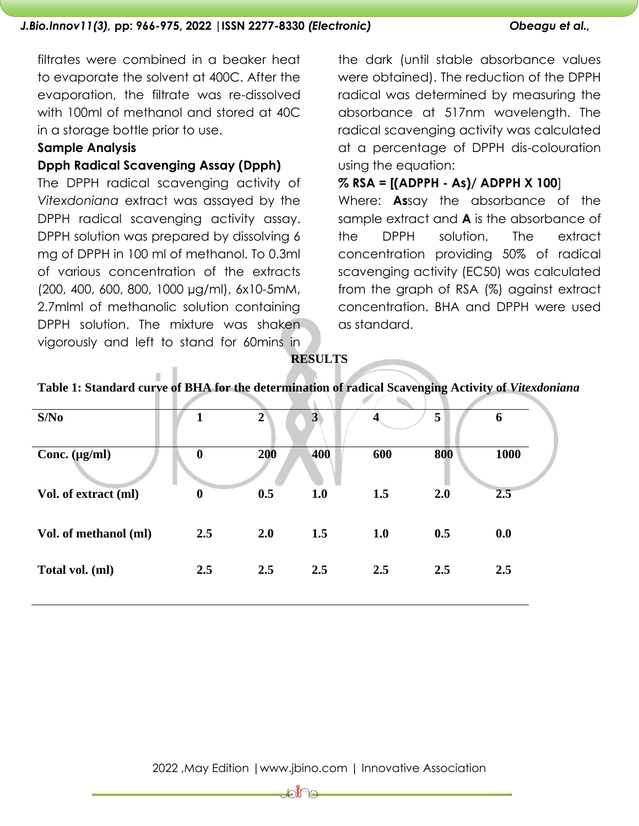filtrates were combined in a beaker heat to evaporate the solvent at 400C. After the evaporation, the filtrate was re-dissolved with 100ml of methanol and stored at 40C in a storage bottle prior to use.

#### **Sample Analysis**

#### **Dpph Radical Scavenging Assay (Dpph)**

The DPPH radical scavenging activity of *Vitexdoniana* extract was assayed by the DPPH radical scavenging activity assay. DPPH solution was prepared by dissolving 6 mg of DPPH in 100 ml of methanol. To 0.3ml of various concentration of the extracts (200, 400, 600, 800, 1000 µg/ml), 6x10-5mM, 2.7mlml of methanolic solution containing DPPH solution. The mixture was shaken vigorously and left to stand for 60mins in

the dark (until stable absorbance values were obtained). The reduction of the DPPH radical was determined by measuring the absorbance at 517nm wavelength. The radical scavenging activity was calculated at a percentage of DPPH dis-colouration using the equation:

#### **% RSA = [(ADPPH - As)/ ADPPH X 100**]

Where: **As**say the absorbance of the sample extract and **A** is the absorbance of the DPPH solution. The extract concentration providing 50% of radical scavenging activity (EC50) was calculated from the graph of RSA (%) against extract concentration. BHA and DPPH were used as standard.

**RESULTS**

| S/No                  |                  | $\overline{2}$ | $\mathbf{3}$ | 4   | 5   | 6    |
|-----------------------|------------------|----------------|--------------|-----|-----|------|
| Conc. $(\mu g/ml)$    | $\boldsymbol{0}$ | 200            | 400          | 600 | 800 | 1000 |
| Vol. of extract (ml)  | $\boldsymbol{0}$ | 0.5            | 1.0          | 1.5 | 2.0 | 2.5  |
| Vol. of methanol (ml) | 2.5              | 2.0            | 1.5          | 1.0 | 0.5 | 0.0  |
| Total vol. (ml)       | 2.5              | 2.5            | 2.5          | 2.5 | 2.5 | 2.5  |

### **Table 1: Standard curve of BHA for the determination of radical Scavenging Activity of** *Vitexdoniana*

⊯ଃ∦ି∈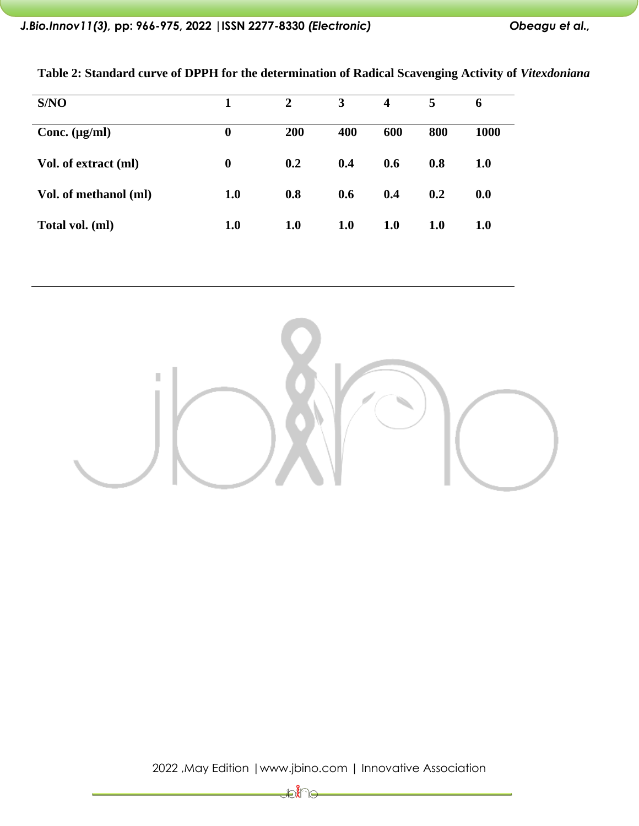| S/NO                  |                  | $\overline{2}$ | 3   | 4   | 5          | 6          |
|-----------------------|------------------|----------------|-----|-----|------------|------------|
| Conc. $(\mu g/ml)$    | $\boldsymbol{0}$ | 200            | 400 | 600 | 800        | 1000       |
| Vol. of extract (ml)  | $\boldsymbol{0}$ | 0.2            | 0.4 | 0.6 | 0.8        | <b>1.0</b> |
| Vol. of methanol (ml) | 1.0              | 0.8            | 0.6 | 0.4 | 0.2        | 0.0        |
| Total vol. (ml)       | 1.0              | <b>1.0</b>     | 1.0 | 1.0 | <b>1.0</b> | 1.0        |

**Table 2: Standard curve of DPPH for the determination of Radical Scavenging Activity of** *Vitexdoniana*



2022 ,May Edition |www.jbino.com | Innovative Association

∰∑∦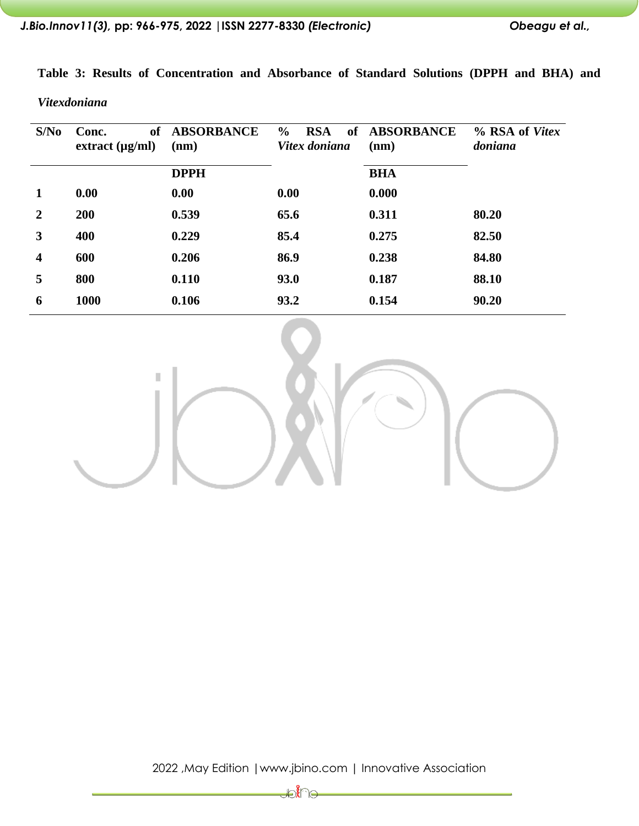|  |  | Table 3: Results of Concentration and Absorbance of Standard Solutions (DPPH and BHA) and |  |  |  |  |  |
|--|--|-------------------------------------------------------------------------------------------|--|--|--|--|--|
|  |  |                                                                                           |  |  |  |  |  |

*Vitexdoniana*

| S/No                    | Conc.<br>extract (µg/ml) | of ABSORBANCE<br>(nm) | $\frac{6}{6}$<br><b>RSA</b><br><b>of</b><br>Vitex doniana | <b>ABSORBANCE</b><br>(nm) | % RSA of Vitex<br>doniana |
|-------------------------|--------------------------|-----------------------|-----------------------------------------------------------|---------------------------|---------------------------|
|                         |                          | <b>DPPH</b>           |                                                           | <b>BHA</b>                |                           |
| 1                       | 0.00                     | 0.00                  | 0.00                                                      | 0.000                     |                           |
| $\overline{2}$          | 200                      | 0.539                 | 65.6                                                      | 0.311                     | 80.20                     |
| 3                       | 400                      | 0.229                 | 85.4                                                      | 0.275                     | 82.50                     |
| $\overline{\mathbf{4}}$ | 600                      | 0.206                 | 86.9                                                      | 0.238                     | 84.80                     |
| 5                       | 800                      | 0.110                 | 93.0                                                      | 0.187                     | 88.10                     |
| 6                       | 1000                     | 0.106                 | 93.2                                                      | 0.154                     | 90.20                     |



2022 ,May Edition |www.jbino.com | Innovative Association

Joine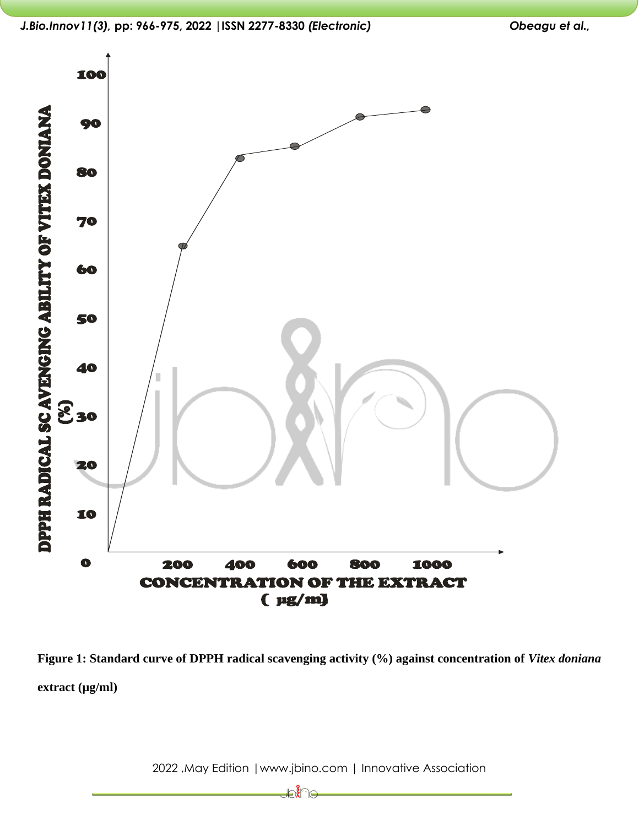



**Figure 1: Standard curve of DPPH radical scavenging activity (%) against concentration of** *Vitex doniana* **extract (µg/ml)**

2022 ,May Edition |www.jbino.com | Innovative Association

₽€U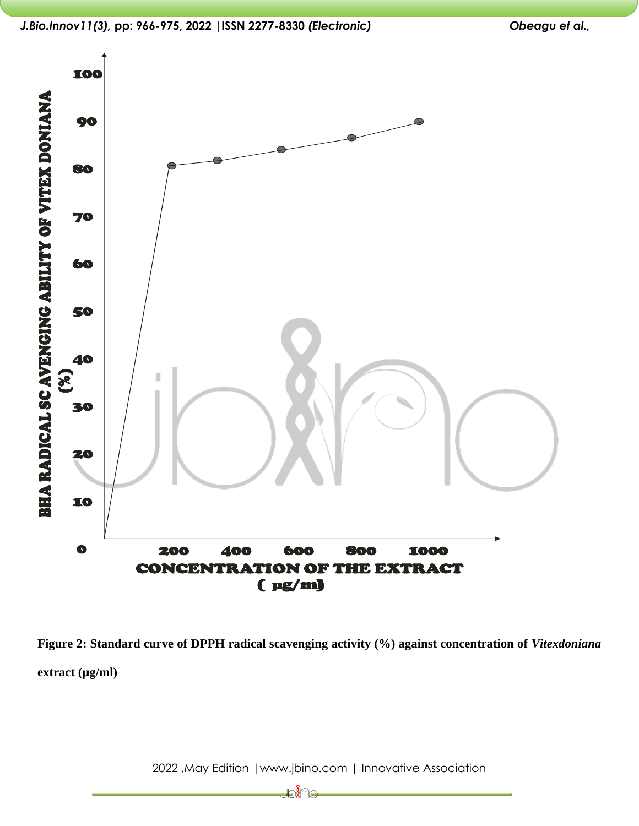

**Figure 2: Standard curve of DPPH radical scavenging activity (%) against concentration of** *Vitexdoniana* **extract (µg/ml)**

2022 ,May Edition |www.jbino.com | Innovative Association

₽Å⊌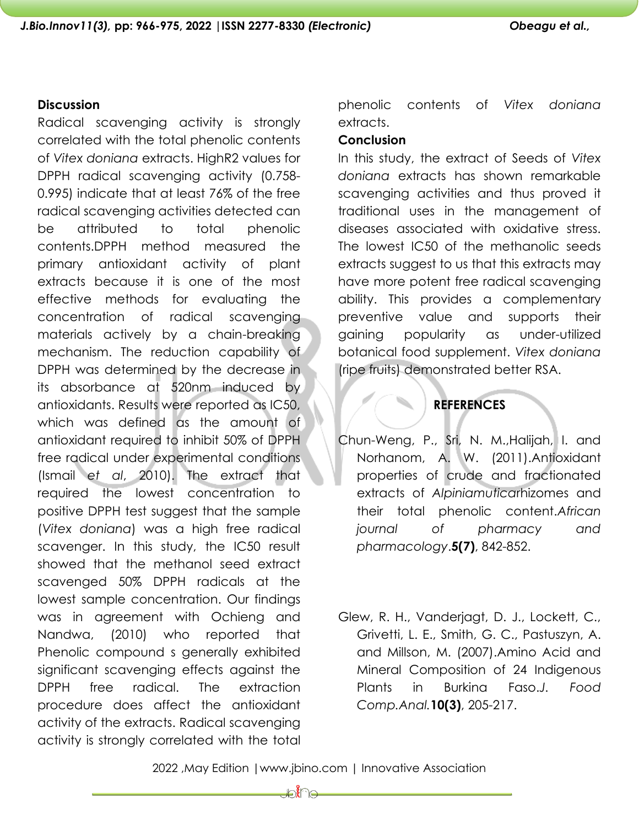# **Discussion**

Radical scavenging activity is strongly correlated with the total phenolic contents of *Vitex doniana* extracts. HighR2 values for DPPH radical scavenging activity (0.758- 0.995) indicate that at least 76% of the free radical scavenging activities detected can be attributed to total phenolic contents.DPPH method measured the primary antioxidant activity of plant extracts because it is one of the most effective methods for evaluating the concentration of radical scavenging materials actively by a chain-breaking mechanism. The reduction capability of DPPH was determined by the decrease in its absorbance at 520nm induced by antioxidants. Results were reported as IC50, which was defined as the amount of antioxidant required to inhibit 50% of DPPH free radical under experimental conditions (Ismail *et al*[, 2010\)](javascript:;). The extract that required the lowest concentration to positive DPPH test suggest that the sample (*Vitex doniana*) was a high free radical scavenger. In this study, the IC50 result showed that the methanol seed extract scavenged 50% DPPH radicals at the lowest sample concentration. Our findings was in agreement with Ochieng and Nandwa, (2010) who reported that Phenolic compound s generally exhibited significant scavenging effects against the DPPH free radical. The extraction procedure does affect the antioxidant activity of the extracts. Radical scavenging activity is strongly correlated with the total

phenolic contents of *Vitex doniana* extracts.

# **Conclusion**

In this study, the extract of Seeds of *Vitex doniana* extracts has shown remarkable scavenging activities and thus proved it traditional uses in the management of diseases associated with oxidative stress. The lowest IC50 of the methanolic seeds extracts suggest to us that this extracts may have more potent free radical scavenging ability. This provides a complementary preventive value and supports their gaining popularity as under-utilized botanical food supplement. *Vitex doniana* (ripe fruits) demonstrated better RSA.

**REFERENCES**

- Chun-Weng, P., Sri, N. M.,Halijah, I. and Norhanom, A. W. (2011).Antioxidant properties of crude and fractionated extracts of *Alpiniamutica*rhizomes and their total phenolic content.*African journal of pharmacy and pharmacology*.**5(7)**, 842-852.
- Glew, R. H., Vanderjagt, D. J., Lockett, C., Grivetti, L. E., Smith, G. C., Pastuszyn, A. and Millson, M. (2007).Amino Acid and Mineral Composition of 24 Indigenous Plants in Burkina Faso.*J. Food Comp.Anal.***10(3)**, 205-217.